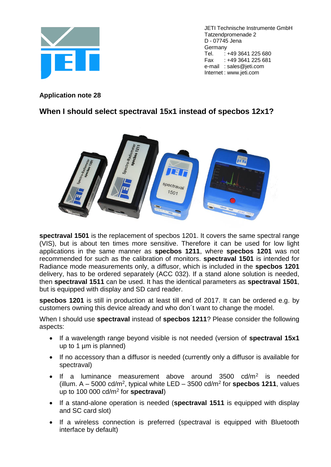

JETI Technische Instrumente GmbH Tatzendpromenade 2 D - 07745 Jena Germany Tel. : +49 3641 225 680 Fax : +49 3641 225 681 e-mail : sales@jeti.com Internet : www.jeti.com

**Application note 28**

## **When I should select spectraval 15x1 instead of specbos 12x1?**



**spectraval 1501** is the replacement of specbos 1201. It covers the same spectral range (VIS), but is about ten times more sensitive. Therefore it can be used for low light applications in the same manner as **specbos 1211**, where **specbos 1201** was not recommended for such as the calibration of monitors. **spectraval 1501** is intended for Radiance mode measurements only, a diffusor, which is included in the **specbos 1201** delivery, has to be ordered separately (ACC 032). If a stand alone solution is needed, then **spectraval 1511** can be used. It has the identical parameters as **spectraval 1501**, but is equipped with display and SD card reader.

**specbos 1201** is still in production at least till end of 2017. It can be ordered e.g. by customers owning this device already and who don´t want to change the model.

When I should use **spectraval** instead of **specbos 1211**? Please consider the following aspects:

- If a wavelength range beyond visible is not needed (version of **spectraval 15x1** up to 1 µm is planned)
- If no accessory than a diffusor is needed (currently only a diffusor is available for spectraval)
- If a luminance measurement above around 3500 cd/m<sup>2</sup> is needed (illum.  $A - 5000$  cd/m<sup>2</sup>, typical white LED  $-3500$  cd/m<sup>2</sup> for **specbos 1211**, values up to 100 000 cd/m<sup>2</sup> for **spectraval**)
- If a stand-alone operation is needed (**spectraval 1511** is equipped with display and SC card slot)
- If a wireless connection is preferred (spectraval is equipped with Bluetooth interface by default)